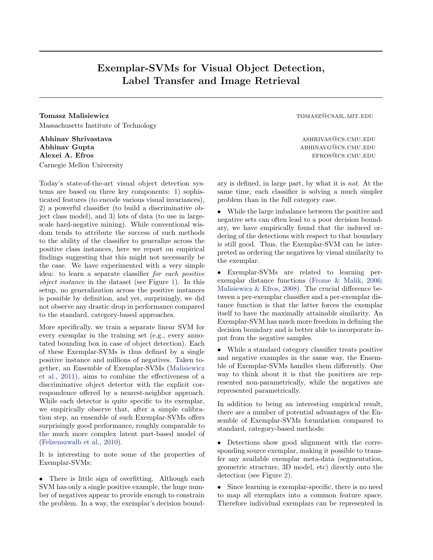## Exemplar-SVMs for Visual Object Detection, Label Transfer and Image Retrieval

**Tomasz Malisiewicz** tomasz **Malisiewicz** tomasz **Malisiewicz** tomasz **Tomasz Malisiewicz** tomasz **Tomasz Tomasz Malisiewicz** tomasz **Malisiewicz Malisiewicz Malisiewicz Malisiewicz Malisiewicz Malisiewicz** Massachusetts Institute of Technology

Abhinav Shrivastava ashrivastava ashrivastava ashrivastava ashrivas $\alpha$ shrivastava ashrivastava ashrivastava ashrivastava ashrivastava ashrivastava ashrivastava ashrivastava ashrivastava ashrivastava ashrivastava ashrivast Abhinav Gupta abhinavg@cs.cmu.edu/ Alexei A. Efros effects and the effects of the effects of the effects of the effects of the effects of the effects of the effects of the effects of the effects of the effects of the effects of the effects of the effects of Carnegie Mellon University

Today's state-of-the-art visual object detection systems are based on three key components: 1) sophisticated features (to encode various visual invariances), 2) a powerful classifier (to build a discriminative object class model), and 3) lots of data (to use in largescale hard-negative mining). While conventional wisdom tends to attribute the success of such methods to the ability of the classifier to generalize across the positive class instances, here we report on empirical findings suggesting that this might not necessarily be the case. We have experimented with a very simple idea: to learn a separate classifier *for each positive object instance* in the dataset (see Figure [1\)](#page-1-0). In this setup, no generalization across the positive instances is possible by definition, and yet, surprisingly, we did not observe any drastic drop in performance compared to the standard, category-based approaches.

More specifically, we train a separate linear SVM for every exemplar in the training set (e.g., every annotated bounding box in case of object detection). Each of these Exemplar-SVMs is thus defined by a single positive instance and millions of negatives. Taken together, an Ensemble of Exemplar-SVMs [\(Malisiewicz](#page-1-0) [et al.,](#page-1-0) [2011\)](#page-1-0), aims to combine the effectiveness of a discriminative object detector with the explicit correspondence offered by a nearest-neighbor approach. While each detector is quite specific to its exemplar, we empirically observe that, after a simple calibration step, an ensemble of such Exemplar-SVMs offers surprisingly good performance, roughly comparable to the much more complex latent part-based model of [\(Felzenszwalb et al.,](#page-1-0) [2010\)](#page-1-0).

It is interesting to note some of the properties of Exemplar-SVMs:

• There is little sign of overfitting. Although each SVM has only a single positive example, the huge number of negatives appear to provide enough to constrain the problem. In a way, the exemplar's decision bound-

ary is defined, in large part, by what it is *not*. At the same time, each classifier is solving a much simpler problem than in the full category case.

*•* While the large imbalance between the positive and negative sets can often lead to a poor decision boundary, we have empirically found that the induced ordering of the detections with respect to that boundary is still good. Thus, the Exemplar-SVM can be interpreted as ordering the negatives by visual similarity to the exemplar.

*•* Exemplar-SVMs are related to learning perexemplar distance functions [\(Frome & Malik,](#page-1-0) [2006;](#page-1-0) [Malisiewicz & Efros,](#page-1-0) [2008\)](#page-1-0). The crucial difference between a per-exemplar classifier and a per-exemplar distance function is that the latter forces the exemplar itself to have the maximally attainable similarity. An Exemplar-SVM has much more freedom in defining the decision boundary and is better able to incorporate input from the negative samples.

*•* While a standard category classifier treats positive and negative examples in the same way, the Ensemble of Exemplar-SVMs handles them differently. One way to think about it is that the positives are represented non-parametrically, while the negatives are represented parametrically.

In addition to being an interesting empirical result, there are a number of potential advantages of the Ensemble of Exemplar-SVMs formulation compared to standard, category-based methods:

• Detections show good alignment with the corresponding source exemplar, making it possible to transfer any available exemplar meta-data (segmentation, geometric structure, 3D model, etc) directly onto the detection (see Figure [2\)](#page-1-0).

Since learning is exemplar-specific, there is no need to map all exemplars into a common feature space. Therefore individual exemplars can be represented in